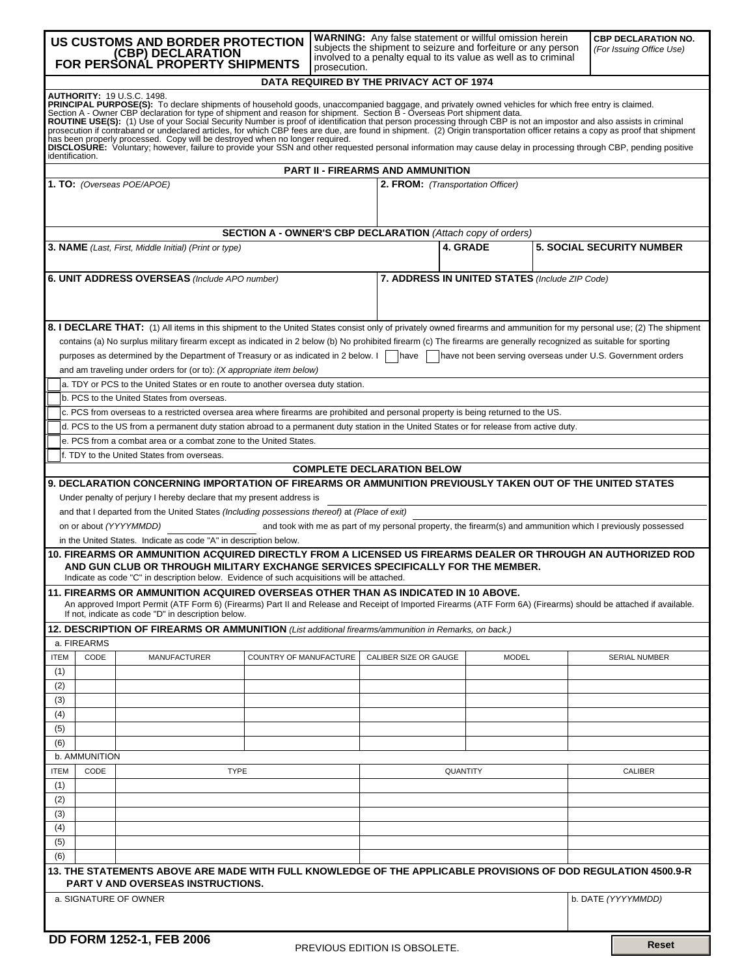|                                                                                                                                                                                                                                                                                                                                                                                                                                                                                                                                                                                                                                                                                                                                                                                                                               | <b>WARNING:</b> Any false statement or willful omission herein<br>US CUSTOMS AND BORDER PROTECTION<br>subjects the shipment to seizure and forfeiture or any person<br>FOR PERSONAL PROPERTY SHIPMENTS<br>involved to a penalty equal to its value as well as to criminal<br>prosecution. |                                                                                                                                                                      |                        |  |  |                                                |          | <b>CBP DECLARATION NO.</b><br>(For Issuing Office Use) |  |                                  |
|-------------------------------------------------------------------------------------------------------------------------------------------------------------------------------------------------------------------------------------------------------------------------------------------------------------------------------------------------------------------------------------------------------------------------------------------------------------------------------------------------------------------------------------------------------------------------------------------------------------------------------------------------------------------------------------------------------------------------------------------------------------------------------------------------------------------------------|-------------------------------------------------------------------------------------------------------------------------------------------------------------------------------------------------------------------------------------------------------------------------------------------|----------------------------------------------------------------------------------------------------------------------------------------------------------------------|------------------------|--|--|------------------------------------------------|----------|--------------------------------------------------------|--|----------------------------------|
|                                                                                                                                                                                                                                                                                                                                                                                                                                                                                                                                                                                                                                                                                                                                                                                                                               | DATA REQUIRED BY THE PRIVACY ACT OF 1974                                                                                                                                                                                                                                                  |                                                                                                                                                                      |                        |  |  |                                                |          |                                                        |  |                                  |
| <b>AUTHORITY: 19 U.S.C. 1498.</b><br>PRINCIPAL PURPOSE(S): To declare shipments of household goods, unaccompanied baggage, and privately owned vehicles for which free entry is claimed.<br>Section A - Owner CBP declaration for type of shipment and reason for shipment. Section B - Overseas Port shipment data.<br>ROUTINE USE(S): (1) Use of your Social Security Number is proof of identification that person processing through CBP is not an impostor and also assists in criminal prosecution if contraband or undeclared articles, for whi<br>has been properly processed. Copy will be destroyed when no longer required.<br>DISCLOSURE: Voluntary; however, failure to provide your SSN and other requested personal information may cause delay in processing through CBP, pending positive<br>identification. |                                                                                                                                                                                                                                                                                           |                                                                                                                                                                      |                        |  |  |                                                |          |                                                        |  |                                  |
| <b>PART II - FIREARMS AND AMMUNITION</b>                                                                                                                                                                                                                                                                                                                                                                                                                                                                                                                                                                                                                                                                                                                                                                                      |                                                                                                                                                                                                                                                                                           |                                                                                                                                                                      |                        |  |  |                                                |          |                                                        |  |                                  |
| 1. TO: (Overseas POE/APOE)<br>2. FROM: (Transportation Officer)<br><b>SECTION A - OWNER'S CBP DECLARATION (Attach copy of orders)</b>                                                                                                                                                                                                                                                                                                                                                                                                                                                                                                                                                                                                                                                                                         |                                                                                                                                                                                                                                                                                           |                                                                                                                                                                      |                        |  |  |                                                |          |                                                        |  |                                  |
|                                                                                                                                                                                                                                                                                                                                                                                                                                                                                                                                                                                                                                                                                                                                                                                                                               |                                                                                                                                                                                                                                                                                           |                                                                                                                                                                      |                        |  |  |                                                |          |                                                        |  |                                  |
| <b>3. NAME</b> (Last, First, Middle Initial) (Print or type)                                                                                                                                                                                                                                                                                                                                                                                                                                                                                                                                                                                                                                                                                                                                                                  |                                                                                                                                                                                                                                                                                           |                                                                                                                                                                      |                        |  |  |                                                | 4. GRADE |                                                        |  | <b>5. SOCIAL SECURITY NUMBER</b> |
| 6. UNIT ADDRESS OVERSEAS (Include APO number)                                                                                                                                                                                                                                                                                                                                                                                                                                                                                                                                                                                                                                                                                                                                                                                 |                                                                                                                                                                                                                                                                                           |                                                                                                                                                                      |                        |  |  | 7. ADDRESS IN UNITED STATES (Include ZIP Code) |          |                                                        |  |                                  |
|                                                                                                                                                                                                                                                                                                                                                                                                                                                                                                                                                                                                                                                                                                                                                                                                                               |                                                                                                                                                                                                                                                                                           | 8. I DECLARE THAT: (1) All items in this shipment to the United States consist only of privately owned firearms and ammunition for my personal use; (2) The shipment |                        |  |  |                                                |          |                                                        |  |                                  |
|                                                                                                                                                                                                                                                                                                                                                                                                                                                                                                                                                                                                                                                                                                                                                                                                                               |                                                                                                                                                                                                                                                                                           | contains (a) No surplus military firearm except as indicated in 2 below (b) No prohibited firearm (c) The firearms are generally recognized as suitable for sporting |                        |  |  |                                                |          |                                                        |  |                                  |
|                                                                                                                                                                                                                                                                                                                                                                                                                                                                                                                                                                                                                                                                                                                                                                                                                               | purposes as determined by the Department of Treasury or as indicated in 2 below. I<br>have not been serving overseas under U.S. Government orders<br> have<br>and am traveling under orders for (or to): (X appropriate item below)                                                       |                                                                                                                                                                      |                        |  |  |                                                |          |                                                        |  |                                  |
|                                                                                                                                                                                                                                                                                                                                                                                                                                                                                                                                                                                                                                                                                                                                                                                                                               |                                                                                                                                                                                                                                                                                           | a. TDY or PCS to the United States or en route to another oversea duty station.                                                                                      |                        |  |  |                                                |          |                                                        |  |                                  |
|                                                                                                                                                                                                                                                                                                                                                                                                                                                                                                                                                                                                                                                                                                                                                                                                                               |                                                                                                                                                                                                                                                                                           | b. PCS to the United States from overseas.                                                                                                                           |                        |  |  |                                                |          |                                                        |  |                                  |
|                                                                                                                                                                                                                                                                                                                                                                                                                                                                                                                                                                                                                                                                                                                                                                                                                               |                                                                                                                                                                                                                                                                                           | c. PCS from overseas to a restricted oversea area where firearms are prohibited and personal property is being returned to the US.                                   |                        |  |  |                                                |          |                                                        |  |                                  |
|                                                                                                                                                                                                                                                                                                                                                                                                                                                                                                                                                                                                                                                                                                                                                                                                                               |                                                                                                                                                                                                                                                                                           | d. PCS to the US from a permanent duty station abroad to a permanent duty station in the United States or for release from active duty.                              |                        |  |  |                                                |          |                                                        |  |                                  |
|                                                                                                                                                                                                                                                                                                                                                                                                                                                                                                                                                                                                                                                                                                                                                                                                                               |                                                                                                                                                                                                                                                                                           | e. PCS from a combat area or a combat zone to the United States.                                                                                                     |                        |  |  |                                                |          |                                                        |  |                                  |
|                                                                                                                                                                                                                                                                                                                                                                                                                                                                                                                                                                                                                                                                                                                                                                                                                               |                                                                                                                                                                                                                                                                                           | f. TDY to the United States from overseas.                                                                                                                           |                        |  |  |                                                |          |                                                        |  |                                  |
|                                                                                                                                                                                                                                                                                                                                                                                                                                                                                                                                                                                                                                                                                                                                                                                                                               |                                                                                                                                                                                                                                                                                           |                                                                                                                                                                      |                        |  |  | <b>COMPLETE DECLARATION BELOW</b>              |          |                                                        |  |                                  |
| 9. DECLARATION CONCERNING IMPORTATION OF FIREARMS OR AMMUNITION PREVIOUSLY TAKEN OUT OF THE UNITED STATES<br>Under penalty of perjury I hereby declare that my present address is<br>and that I departed from the United States (Including possessions thereof) at (Place of exit)                                                                                                                                                                                                                                                                                                                                                                                                                                                                                                                                            |                                                                                                                                                                                                                                                                                           |                                                                                                                                                                      |                        |  |  |                                                |          |                                                        |  |                                  |
| on or about (YYYYMMDD)<br>and took with me as part of my personal property, the firearm(s) and ammunition which I previously possessed<br>in the United States. Indicate as code "A" in description below.                                                                                                                                                                                                                                                                                                                                                                                                                                                                                                                                                                                                                    |                                                                                                                                                                                                                                                                                           |                                                                                                                                                                      |                        |  |  |                                                |          |                                                        |  |                                  |
| 10. FIREARMS OR AMMUNITION ACQUIRED DIRECTLY FROM A LICENSED US FIREARMS DEALER OR THROUGH AN AUTHORIZED ROD<br>AND GUN CLUB OR THROUGH MILITARY EXCHANGE SERVICES SPECIFICALLY FOR THE MEMBER.<br>Indicate as code "C" in description below. Evidence of such acquisitions will be attached.                                                                                                                                                                                                                                                                                                                                                                                                                                                                                                                                 |                                                                                                                                                                                                                                                                                           |                                                                                                                                                                      |                        |  |  |                                                |          |                                                        |  |                                  |
| 11. FIREARMS OR AMMUNITION ACQUIRED OVERSEAS OTHER THAN AS INDICATED IN 10 ABOVE.<br>An approved Import Permit (ATF Form 6) (Firearms) Part II and Release and Receipt of Imported Firearms (ATF Form 6A) (Firearms) should be attached if available.<br>If not, indicate as code "D" in description below.                                                                                                                                                                                                                                                                                                                                                                                                                                                                                                                   |                                                                                                                                                                                                                                                                                           |                                                                                                                                                                      |                        |  |  |                                                |          |                                                        |  |                                  |
|                                                                                                                                                                                                                                                                                                                                                                                                                                                                                                                                                                                                                                                                                                                                                                                                                               |                                                                                                                                                                                                                                                                                           | 12. DESCRIPTION OF FIREARMS OR AMMUNITION (List additional firearms/ammunition in Remarks, on back.)                                                                 |                        |  |  |                                                |          |                                                        |  |                                  |
|                                                                                                                                                                                                                                                                                                                                                                                                                                                                                                                                                                                                                                                                                                                                                                                                                               | a. FIREARMS                                                                                                                                                                                                                                                                               |                                                                                                                                                                      |                        |  |  |                                                |          |                                                        |  |                                  |
| <b>ITEM</b>                                                                                                                                                                                                                                                                                                                                                                                                                                                                                                                                                                                                                                                                                                                                                                                                                   | CODE                                                                                                                                                                                                                                                                                      | <b>MANUFACTURER</b>                                                                                                                                                  | COUNTRY OF MANUFACTURE |  |  | CALIBER SIZE OR GAUGE                          |          | <b>MODEL</b>                                           |  | <b>SERIAL NUMBER</b>             |
| (1)                                                                                                                                                                                                                                                                                                                                                                                                                                                                                                                                                                                                                                                                                                                                                                                                                           |                                                                                                                                                                                                                                                                                           |                                                                                                                                                                      |                        |  |  |                                                |          |                                                        |  |                                  |
| (2)                                                                                                                                                                                                                                                                                                                                                                                                                                                                                                                                                                                                                                                                                                                                                                                                                           |                                                                                                                                                                                                                                                                                           |                                                                                                                                                                      |                        |  |  |                                                |          |                                                        |  |                                  |
| (3)                                                                                                                                                                                                                                                                                                                                                                                                                                                                                                                                                                                                                                                                                                                                                                                                                           |                                                                                                                                                                                                                                                                                           |                                                                                                                                                                      |                        |  |  |                                                |          |                                                        |  |                                  |
| (4)                                                                                                                                                                                                                                                                                                                                                                                                                                                                                                                                                                                                                                                                                                                                                                                                                           |                                                                                                                                                                                                                                                                                           |                                                                                                                                                                      |                        |  |  |                                                |          |                                                        |  |                                  |
| (5)                                                                                                                                                                                                                                                                                                                                                                                                                                                                                                                                                                                                                                                                                                                                                                                                                           |                                                                                                                                                                                                                                                                                           |                                                                                                                                                                      |                        |  |  |                                                |          |                                                        |  |                                  |
| (6)                                                                                                                                                                                                                                                                                                                                                                                                                                                                                                                                                                                                                                                                                                                                                                                                                           |                                                                                                                                                                                                                                                                                           |                                                                                                                                                                      |                        |  |  |                                                |          |                                                        |  |                                  |
|                                                                                                                                                                                                                                                                                                                                                                                                                                                                                                                                                                                                                                                                                                                                                                                                                               | b. AMMUNITION                                                                                                                                                                                                                                                                             |                                                                                                                                                                      |                        |  |  |                                                |          |                                                        |  |                                  |
| <b>ITEM</b>                                                                                                                                                                                                                                                                                                                                                                                                                                                                                                                                                                                                                                                                                                                                                                                                                   | CODE                                                                                                                                                                                                                                                                                      | <b>TYPE</b>                                                                                                                                                          |                        |  |  | QUANTITY                                       |          |                                                        |  | <b>CALIBER</b>                   |
|                                                                                                                                                                                                                                                                                                                                                                                                                                                                                                                                                                                                                                                                                                                                                                                                                               | (1)                                                                                                                                                                                                                                                                                       |                                                                                                                                                                      |                        |  |  |                                                |          |                                                        |  |                                  |
| (2)                                                                                                                                                                                                                                                                                                                                                                                                                                                                                                                                                                                                                                                                                                                                                                                                                           |                                                                                                                                                                                                                                                                                           |                                                                                                                                                                      |                        |  |  |                                                |          |                                                        |  |                                  |
| (3)                                                                                                                                                                                                                                                                                                                                                                                                                                                                                                                                                                                                                                                                                                                                                                                                                           |                                                                                                                                                                                                                                                                                           |                                                                                                                                                                      |                        |  |  |                                                |          |                                                        |  |                                  |
| (4)                                                                                                                                                                                                                                                                                                                                                                                                                                                                                                                                                                                                                                                                                                                                                                                                                           |                                                                                                                                                                                                                                                                                           |                                                                                                                                                                      |                        |  |  |                                                |          |                                                        |  |                                  |
| (5)                                                                                                                                                                                                                                                                                                                                                                                                                                                                                                                                                                                                                                                                                                                                                                                                                           |                                                                                                                                                                                                                                                                                           |                                                                                                                                                                      |                        |  |  |                                                |          |                                                        |  |                                  |
| (6)                                                                                                                                                                                                                                                                                                                                                                                                                                                                                                                                                                                                                                                                                                                                                                                                                           |                                                                                                                                                                                                                                                                                           |                                                                                                                                                                      |                        |  |  |                                                |          |                                                        |  |                                  |
|                                                                                                                                                                                                                                                                                                                                                                                                                                                                                                                                                                                                                                                                                                                                                                                                                               |                                                                                                                                                                                                                                                                                           | 13. THE STATEMENTS ABOVE ARE MADE WITH FULL KNOWLEDGE OF THE APPLICABLE PROVISIONS OF DOD REGULATION 4500.9-R<br><b>PART V AND OVERSEAS INSTRUCTIONS.</b>            |                        |  |  |                                                |          |                                                        |  |                                  |
|                                                                                                                                                                                                                                                                                                                                                                                                                                                                                                                                                                                                                                                                                                                                                                                                                               |                                                                                                                                                                                                                                                                                           | a. SIGNATURE OF OWNER                                                                                                                                                |                        |  |  |                                                |          |                                                        |  | b. DATE (YYYYMMDD)               |